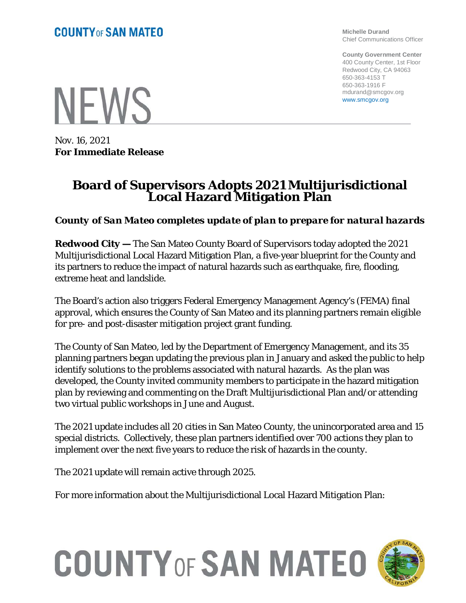**Michelle Durand** Chief Communications Officer

**County Government Center** 400 County Center, 1st Floor Redwood City, CA 94063 650-363-4153 T 650-363-1916 F mdurand@smcgov.org www.smcgov.org

**NEWS** 

Nov. 16, 2021 **For Immediate Release**

## **Board of Supervisors Adopts 2021 Multijurisdictional Local Hazard Mitigation Plan**

*County of San Mateo completes update of plan to prepare for natural hazards* 

**Redwood City —** The San Mateo County Board of Supervisors today adopted the 2021 Multijurisdictional Local Hazard Mitigation Plan, a five-year blueprint for the County and its partners to reduce the impact of natural hazards such as earthquake, fire, flooding, extreme heat and landslide.

The Board's action also triggers Federal Emergency Management Agency's (FEMA) final approval, which ensures the County of San Mateo and its planning partners remain eligible for pre- and post-disaster mitigation project grant funding.

The County of San Mateo, led by the Department of Emergency Management, and its 35 planning partners began updating the previous plan in January and asked the public to help identify solutions to the problems associated with natural hazards. As the plan was developed, the County invited community members to participate in the hazard mitigation plan by reviewing and commenting on the Draft Multijurisdictional Plan and/or attending two virtual public workshops in June and August.

The 2021 update includes all 20 cities in San Mateo County, the unincorporated area and 15 special districts. Collectively, these plan partners identified over 700 actions they plan to implement over the next five years to reduce the risk of hazards in the county.

The 2021 update will remain active through 2025.

For more information about the Multijurisdictional Local Hazard Mitigation Plan:

## **COUNTY OF SAN MATEO**